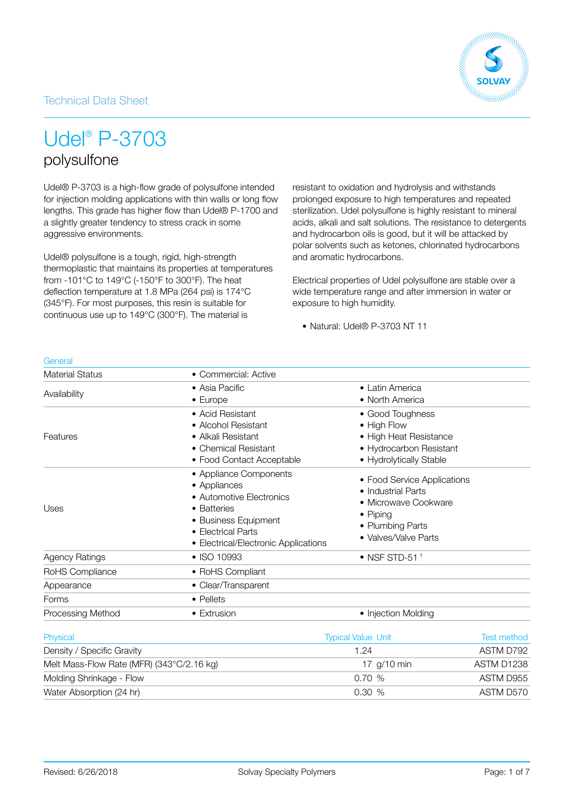### Technical Data Sheet



# Udel® P-3703

## polysulfone

Udel® P-3703 is a high-flow grade of polysulfone intended for injection molding applications with thin walls or long flow lengths. This grade has higher flow than Udel® P-1700 and a slightly greater tendency to stress crack in some aggressive environments.

Udel® polysulfone is a tough, rigid, high-strength thermoplastic that maintains its properties at temperatures from -101°C to 149°C (-150°F to 300°F). The heat deflection temperature at 1.8 MPa (264 psi) is 174°C (345°F). For most purposes, this resin is suitable for continuous use up to 149°C (300°F). The material is

resistant to oxidation and hydrolysis and withstands prolonged exposure to high temperatures and repeated sterilization. Udel polysulfone is highly resistant to mineral acids, alkali and salt solutions. The resistance to detergents and hydrocarbon oils is good, but it will be attacked by polar solvents such as ketones, chlorinated hydrocarbons and aromatic hydrocarbons.

Electrical properties of Udel polysulfone are stable over a wide temperature range and after immersion in water or exposure to high humidity.

• Natural: Udel® P-3703 NT 11

| General                    |                                                                                                                                                                         |                                                                                                                                   |           |
|----------------------------|-------------------------------------------------------------------------------------------------------------------------------------------------------------------------|-----------------------------------------------------------------------------------------------------------------------------------|-----------|
| <b>Material Status</b>     | • Commercial: Active                                                                                                                                                    |                                                                                                                                   |           |
| Availability               | • Asia Pacific<br>$\bullet$ Europe                                                                                                                                      | • Latin America<br>• North America                                                                                                |           |
| Features                   | • Acid Resistant<br>• Alcohol Resistant<br>• Alkali Resistant<br>• Chemical Resistant<br>• Food Contact Acceptable                                                      | • Good Toughness<br>• High Flow<br>• High Heat Resistance<br>• Hydrocarbon Resistant<br>• Hydrolytically Stable                   |           |
| Uses                       | • Appliance Components<br>• Appliances<br>• Automotive Electronics<br>• Batteries<br>• Business Equipment<br>• Electrical Parts<br>• Electrical/Electronic Applications | • Food Service Applications<br>• Industrial Parts<br>• Microwave Cookware<br>• Piping<br>• Plumbing Parts<br>• Valves/Valve Parts |           |
| <b>Agency Ratings</b>      | • ISO 10993                                                                                                                                                             | $\bullet$ NSF STD-51 <sup>1</sup>                                                                                                 |           |
| RoHS Compliance            | • RoHS Compliant                                                                                                                                                        |                                                                                                                                   |           |
| Appearance                 | • Clear/Transparent                                                                                                                                                     |                                                                                                                                   |           |
| Forms                      | • Pellets                                                                                                                                                               |                                                                                                                                   |           |
| Processing Method          | • Extrusion                                                                                                                                                             | • Injection Molding                                                                                                               |           |
| Physical                   |                                                                                                                                                                         | <b>Typical Value Unit</b><br><b>Test method</b>                                                                                   |           |
| Density / Specific Gravity |                                                                                                                                                                         | 1.24                                                                                                                              | ASTM D792 |
|                            |                                                                                                                                                                         | $\sim$                                                                                                                            | $\sim$    |

| Density / Specific Gravity                | 1.24        | ASTM D792  |
|-------------------------------------------|-------------|------------|
| Melt Mass-Flow Rate (MFR) (343°C/2.16 kg) | 17 a/10 min | ASTM D1238 |
| Molding Shrinkage - Flow                  | 0.70%       | ASTM D955  |
| Water Absorption (24 hr)                  | 0.30 %      | ASTM D570  |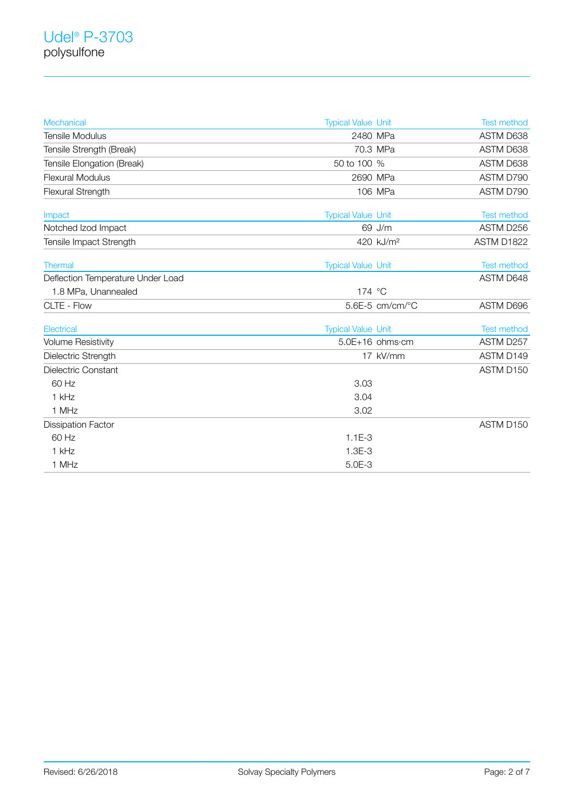| Mechanical                        | <b>Typical Value Unit</b> | <b>Test method</b> |
|-----------------------------------|---------------------------|--------------------|
| <b>Tensile Modulus</b>            | 2480 MPa                  | ASTM D638          |
| Tensile Strength (Break)          | 70.3 MPa                  | ASTM D638          |
| Tensile Elongation (Break)        | 50 to 100 %               | ASTM D638          |
| <b>Flexural Modulus</b>           | 2690 MPa                  | ASTM D790          |
| Flexural Strength                 | 106 MPa                   | ASTM D790          |
| Impact                            | <b>Typical Value Unit</b> | <b>Test method</b> |
| Notched Izod Impact               | 69 J/m                    | ASTM D256          |
| Tensile Impact Strength           | 420 kJ/m <sup>2</sup>     | ASTM D1822         |
| <b>Thermal</b>                    | <b>Typical Value Unit</b> | <b>Test method</b> |
| Deflection Temperature Under Load |                           | ASTM D648          |
| 1.8 MPa, Unannealed               | 174 °C                    |                    |
| CLTE - Flow                       | 5.6E-5 cm/cm/°C           | ASTM D696          |
| Electrical                        | <b>Typical Value Unit</b> | <b>Test method</b> |
| <b>Volume Resistivity</b>         | 5.0E+16 ohms·cm           | ASTM D257          |
| Dielectric Strength               | 17 kV/mm                  | ASTM D149          |
| Dielectric Constant               |                           | ASTM D150          |
| 60 Hz                             | 3.03                      |                    |
| 1 kHz                             | 3.04                      |                    |
| 1 MHz                             | 3.02                      |                    |
| <b>Dissipation Factor</b>         |                           | ASTM D150          |
| 60 Hz                             | $1.1E-3$                  |                    |
| 1 kHz                             | $1.3E-3$                  |                    |
| 1 MHz                             | $5.0E-3$                  |                    |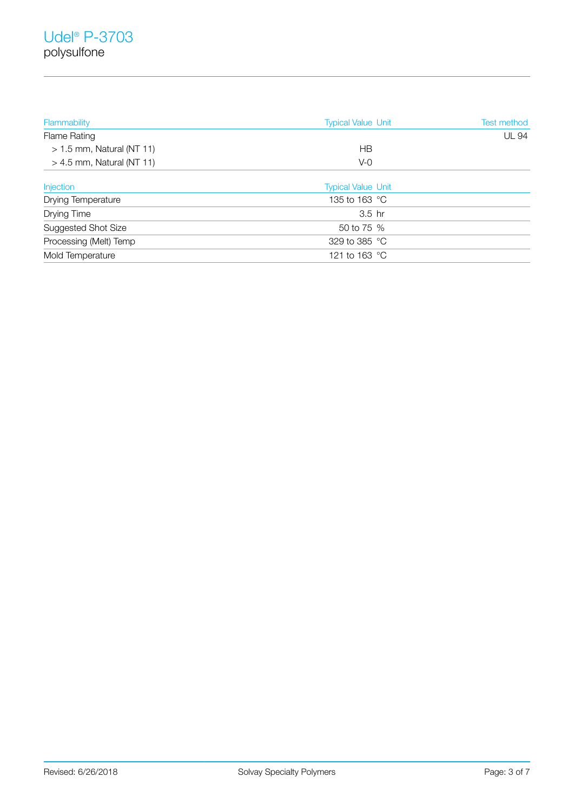| Flammability                | <b>Typical Value Unit</b> | <b>Test method</b> |
|-----------------------------|---------------------------|--------------------|
| <b>Flame Rating</b>         |                           | <b>UL 94</b>       |
| $> 1.5$ mm, Natural (NT 11) | HВ                        |                    |
| $> 4.5$ mm, Natural (NT 11) | $V-0$                     |                    |
| <b>Injection</b>            | <b>Typical Value Unit</b> |                    |
| <b>Drying Temperature</b>   | 135 to 163 °C             |                    |
| Drying Time                 | $3.5$ hr                  |                    |
| Suggested Shot Size         | 50 to 75 %                |                    |
| Processing (Melt) Temp      | 329 to 385 °C             |                    |
| Mold Temperature            | 121 to 163 °C             |                    |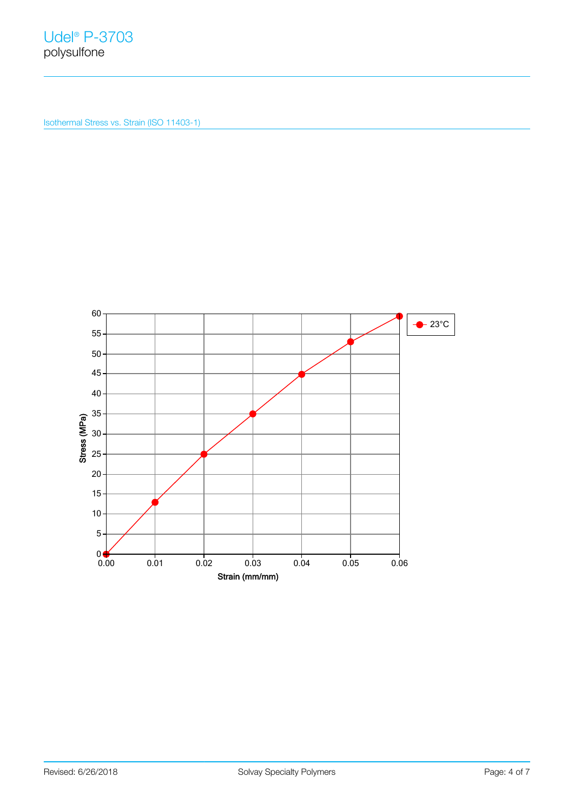Isothermal Stress vs. Strain (ISO 11403-1)

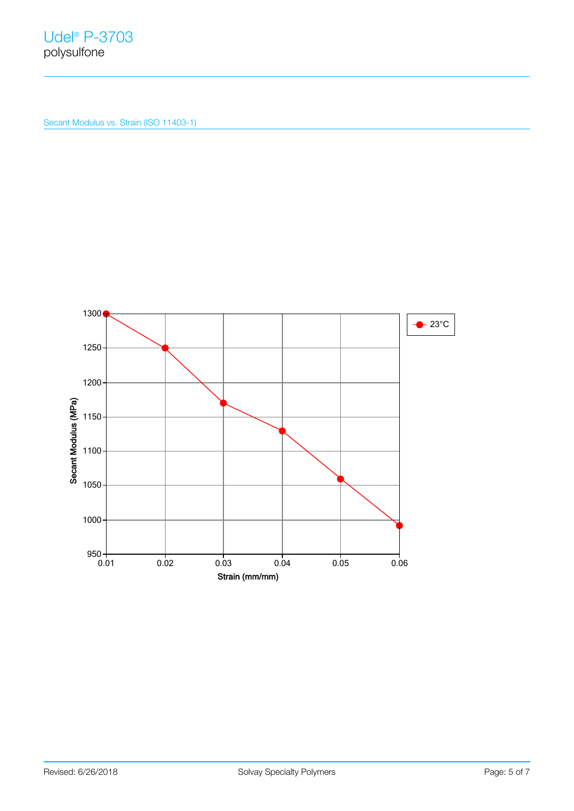Secant Modulus vs. Strain (ISO 11403-1)

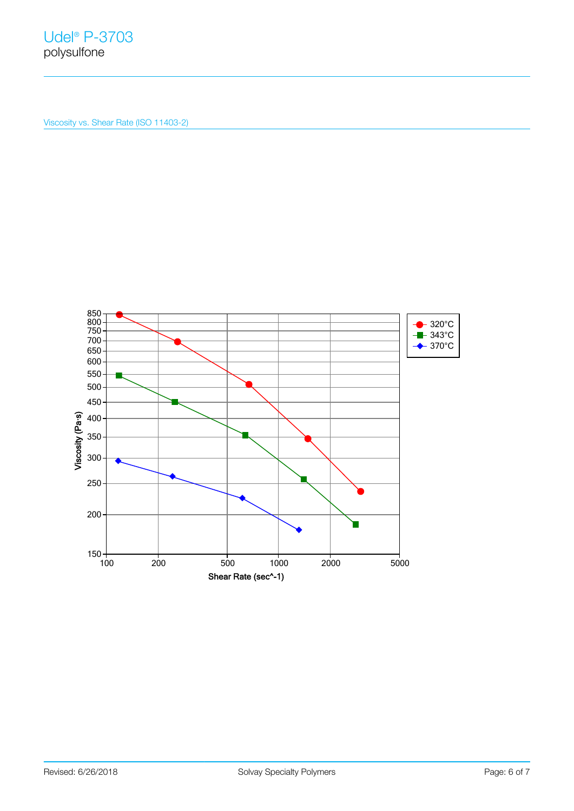Viscosity vs. Shear Rate (ISO 11403-2)